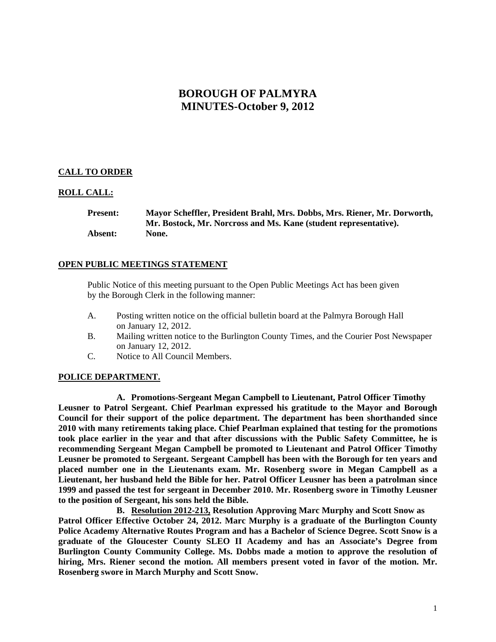# **BOROUGH OF PALMYRA MINUTES-October 9, 2012**

## **CALL TO ORDER**

## **ROLL CALL:**

**Present: Mayor Scheffler, President Brahl, Mrs. Dobbs, Mrs. Riener, Mr. Dorworth, Mr. Bostock, Mr. Norcross and Ms. Kane (student representative). Absent: None.** 

## **OPEN PUBLIC MEETINGS STATEMENT**

 Public Notice of this meeting pursuant to the Open Public Meetings Act has been given by the Borough Clerk in the following manner:

- A. Posting written notice on the official bulletin board at the Palmyra Borough Hall on January 12, 2012.
- B. Mailing written notice to the Burlington County Times, and the Courier Post Newspaper on January 12, 2012.
- C. Notice to All Council Members.

#### **POLICE DEPARTMENT.**

**A. Promotions-Sergeant Megan Campbell to Lieutenant, Patrol Officer Timothy Leusner to Patrol Sergeant. Chief Pearlman expressed his gratitude to the Mayor and Borough Council for their support of the police department. The department has been shorthanded since 2010 with many retirements taking place. Chief Pearlman explained that testing for the promotions took place earlier in the year and that after discussions with the Public Safety Committee, he is recommending Sergeant Megan Campbell be promoted to Lieutenant and Patrol Officer Timothy Leusner be promoted to Sergeant. Sergeant Campbell has been with the Borough for ten years and placed number one in the Lieutenants exam. Mr. Rosenberg swore in Megan Campbell as a Lieutenant, her husband held the Bible for her. Patrol Officer Leusner has been a patrolman since 1999 and passed the test for sergeant in December 2010. Mr. Rosenberg swore in Timothy Leusner to the position of Sergeant, his sons held the Bible.** 

**B. Resolution 2012-213, Resolution Approving Marc Murphy and Scott Snow as Patrol Officer Effective October 24, 2012. Marc Murphy is a graduate of the Burlington County Police Academy Alternative Routes Program and has a Bachelor of Science Degree. Scott Snow is a graduate of the Gloucester County SLEO II Academy and has an Associate's Degree from Burlington County Community College. Ms. Dobbs made a motion to approve the resolution of hiring, Mrs. Riener second the motion. All members present voted in favor of the motion. Mr. Rosenberg swore in March Murphy and Scott Snow.**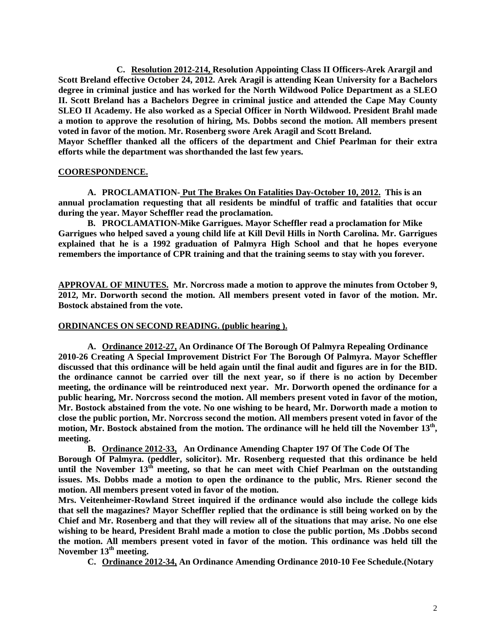**C. Resolution 2012-214, Resolution Appointing Class II Officers-Arek Arargil and Scott Breland effective October 24, 2012. Arek Aragil is attending Kean University for a Bachelors degree in criminal justice and has worked for the North Wildwood Police Department as a SLEO II. Scott Breland has a Bachelors Degree in criminal justice and attended the Cape May County SLEO II Academy. He also worked as a Special Officer in North Wildwood. President Brahl made a motion to approve the resolution of hiring, Ms. Dobbs second the motion. All members present voted in favor of the motion. Mr. Rosenberg swore Arek Aragil and Scott Breland.** 

**Mayor Scheffler thanked all the officers of the department and Chief Pearlman for their extra efforts while the department was shorthanded the last few years.** 

## **COORESPONDENCE.**

**A. PROCLAMATION- Put The Brakes On Fatalities Day-October 10, 2012. This is an annual proclamation requesting that all residents be mindful of traffic and fatalities that occur during the year. Mayor Scheffler read the proclamation.** 

**B. PROCLAMATION-Mike Garrigues. Mayor Scheffler read a proclamation for Mike Garrigues who helped saved a young child life at Kill Devil Hills in North Carolina. Mr. Garrigues explained that he is a 1992 graduation of Palmyra High School and that he hopes everyone remembers the importance of CPR training and that the training seems to stay with you forever.** 

**APPROVAL OF MINUTES. Mr. Norcross made a motion to approve the minutes from October 9, 2012, Mr. Dorworth second the motion. All members present voted in favor of the motion. Mr. Bostock abstained from the vote.** 

#### **ORDINANCES ON SECOND READING. (public hearing ).**

**A. Ordinance 2012-27, An Ordinance Of The Borough Of Palmyra Repealing Ordinance 2010-26 Creating A Special Improvement District For The Borough Of Palmyra. Mayor Scheffler discussed that this ordinance will be held again until the final audit and figures are in for the BID. the ordinance cannot be carried over till the next year, so if there is no action by December meeting, the ordinance will be reintroduced next year. Mr. Dorworth opened the ordinance for a public hearing, Mr. Norcross second the motion. All members present voted in favor of the motion, Mr. Bostock abstained from the vote. No one wishing to be heard, Mr. Dorworth made a motion to close the public portion, Mr. Norcross second the motion. All members present voted in favor of the motion, Mr. Bostock abstained from the motion. The ordinance will he held till the November 13th, meeting.** 

**B. Ordinance 2012-33, An Ordinance Amending Chapter 197 Of The Code Of The Borough Of Palmyra. (peddler, solicitor). Mr. Rosenberg requested that this ordinance be held**  until the November 13<sup>th</sup> meeting, so that he can meet with Chief Pearlman on the outstanding **issues. Ms. Dobbs made a motion to open the ordinance to the public, Mrs. Riener second the motion. All members present voted in favor of the motion.** 

**Mrs. Veitenheimer-Rowland Street inquired if the ordinance would also include the college kids that sell the magazines? Mayor Scheffler replied that the ordinance is still being worked on by the Chief and Mr. Rosenberg and that they will review all of the situations that may arise. No one else wishing to be heard, President Brahl made a motion to close the public portion, Ms .Dobbs second the motion. All members present voted in favor of the motion. This ordinance was held till the November 13th meeting.** 

**C. Ordinance 2012-34, An Ordinance Amending Ordinance 2010-10 Fee Schedule.(Notary**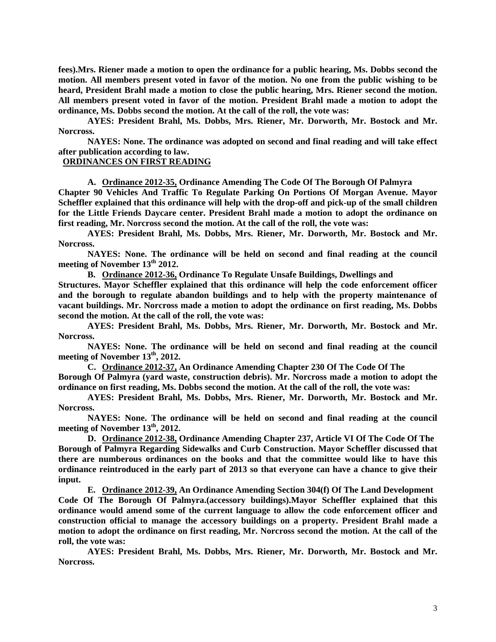**fees).Mrs. Riener made a motion to open the ordinance for a public hearing, Ms. Dobbs second the motion. All members present voted in favor of the motion. No one from the public wishing to be heard, President Brahl made a motion to close the public hearing, Mrs. Riener second the motion. All members present voted in favor of the motion. President Brahl made a motion to adopt the ordinance, Ms. Dobbs second the motion. At the call of the roll, the vote was:** 

 **AYES: President Brahl, Ms. Dobbs, Mrs. Riener, Mr. Dorworth, Mr. Bostock and Mr. Norcross.** 

 **NAYES: None. The ordinance was adopted on second and final reading and will take effect after publication according to law.** 

## **ORDINANCES ON FIRST READING**

**A. Ordinance 2012-35, Ordinance Amending The Code Of The Borough Of Palmyra** 

**Chapter 90 Vehicles And Traffic To Regulate Parking On Portions Of Morgan Avenue. Mayor Scheffler explained that this ordinance will help with the drop-off and pick-up of the small children for the Little Friends Daycare center. President Brahl made a motion to adopt the ordinance on first reading, Mr. Norcross second the motion. At the call of the roll, the vote was:** 

 **AYES: President Brahl, Ms. Dobbs, Mrs. Riener, Mr. Dorworth, Mr. Bostock and Mr. Norcross.** 

 **NAYES: None. The ordinance will be held on second and final reading at the council meeting of November 13th 2012.** 

**B. Ordinance 2012-36, Ordinance To Regulate Unsafe Buildings, Dwellings and** 

**Structures. Mayor Scheffler explained that this ordinance will help the code enforcement officer and the borough to regulate abandon buildings and to help with the property maintenance of vacant buildings. Mr. Norcross made a motion to adopt the ordinance on first reading, Ms. Dobbs second the motion. At the call of the roll, the vote was:** 

**AYES: President Brahl, Ms. Dobbs, Mrs. Riener, Mr. Dorworth, Mr. Bostock and Mr. Norcross.** 

 **NAYES: None. The ordinance will be held on second and final reading at the council meeting of November 13th, 2012.** 

**C. Ordinance 2012-37, An Ordinance Amending Chapter 230 Of The Code Of The Borough Of Palmyra (yard waste, construction debris). Mr. Norcross made a motion to adopt the ordinance on first reading, Ms. Dobbs second the motion. At the call of the roll, the vote was:** 

**AYES: President Brahl, Ms. Dobbs, Mrs. Riener, Mr. Dorworth, Mr. Bostock and Mr. Norcross.** 

 **NAYES: None. The ordinance will be held on second and final reading at the council meeting of November 13th, 2012.** 

**D. Ordinance 2012-38, Ordinance Amending Chapter 237, Article VI Of The Code Of The Borough of Palmyra Regarding Sidewalks and Curb Construction. Mayor Scheffler discussed that there are numberous ordinances on the books and that the committee would like to have this ordinance reintroduced in the early part of 2013 so that everyone can have a chance to give their input.** 

**E. Ordinance 2012-39, An Ordinance Amending Section 304(f) Of The Land Development Code Of The Borough Of Palmyra.(accessory buildings).Mayor Scheffler explained that this ordinance would amend some of the current language to allow the code enforcement officer and construction official to manage the accessory buildings on a property. President Brahl made a motion to adopt the ordinance on first reading, Mr. Norcross second the motion. At the call of the roll, the vote was:** 

**AYES: President Brahl, Ms. Dobbs, Mrs. Riener, Mr. Dorworth, Mr. Bostock and Mr. Norcross.**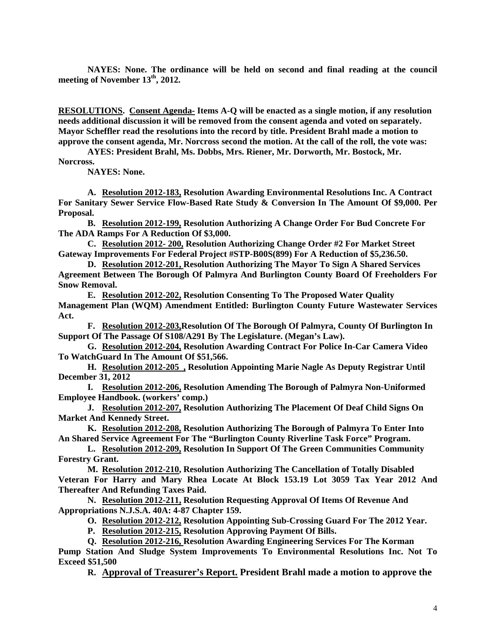**NAYES: None. The ordinance will be held on second and final reading at the council meeting of November 13th, 2012.** 

**RESOLUTIONS. Consent Agenda- Items A-Q will be enacted as a single motion, if any resolution needs additional discussion it will be removed from the consent agenda and voted on separately. Mayor Scheffler read the resolutions into the record by title. President Brahl made a motion to approve the consent agenda, Mr. Norcross second the motion. At the call of the roll, the vote was:** 

 **AYES: President Brahl, Ms. Dobbs, Mrs. Riener, Mr. Dorworth, Mr. Bostock, Mr. Norcross.** 

 **NAYES: None.** 

**A. Resolution 2012-183, Resolution Awarding Environmental Resolutions Inc. A Contract For Sanitary Sewer Service Flow-Based Rate Study & Conversion In The Amount Of \$9,000. Per Proposal.** 

**B. Resolution 2012-199, Resolution Authorizing A Change Order For Bud Concrete For The ADA Ramps For A Reduction Of \$3,000.** 

**C. Resolution 2012- 200, Resolution Authorizing Change Order #2 For Market Street Gateway Improvements For Federal Project #STP-B00S(899) For A Reduction of \$5,236.50.** 

**D. Resolution 2012-201, Resolution Authorizing The Mayor To Sign A Shared Services Agreement Between The Borough Of Palmyra And Burlington County Board Of Freeholders For Snow Removal.** 

**E. Resolution 2012-202, Resolution Consenting To The Proposed Water Quality Management Plan (WQM) Amendment Entitled: Burlington County Future Wastewater Services Act.** 

**F. Resolution 2012-203,Resolution Of The Borough Of Palmyra, County Of Burlington In Support Of The Passage Of S108/A291 By The Legislature. (Megan's Law).** 

**G. Resolution 2012-204, Resolution Awarding Contract For Police In-Car Camera Video To WatchGuard In The Amount Of \$51,566.** 

**H. Resolution 2012-205 , Resolution Appointing Marie Nagle As Deputy Registrar Until December 31, 2012** 

**I. Resolution 2012-206, Resolution Amending The Borough of Palmyra Non-Uniformed Employee Handbook. (workers' comp.)** 

**J. Resolution 2012-207, Resolution Authorizing The Placement Of Deaf Child Signs On Market And Kennedy Street.** 

**K. Resolution 2012-208, Resolution Authorizing The Borough of Palmyra To Enter Into An Shared Service Agreement For The "Burlington County Riverline Task Force" Program.** 

**L. Resolution 2012-209, Resolution In Support Of The Green Communities Community Forestry Grant.** 

**M. Resolution 2012-210, Resolution Authorizing The Cancellation of Totally Disabled Veteran For Harry and Mary Rhea Locate At Block 153.19 Lot 3059 Tax Year 2012 And Thereafter And Refunding Taxes Paid.** 

**N. Resolution 2012-211, Resolution Requesting Approval Of Items Of Revenue And Appropriations N.J.S.A. 40A: 4-87 Chapter 159.** 

**O. Resolution 2012-212, Resolution Appointing Sub-Crossing Guard For The 2012 Year.** 

**P. Resolution 2012-215, Resolution Approving Payment Of Bills.** 

**Q. Resolution 2012-216, Resolution Awarding Engineering Services For The Korman** 

**Pump Station And Sludge System Improvements To Environmental Resolutions Inc. Not To Exceed \$51,500** 

**R. Approval of Treasurer's Report. President Brahl made a motion to approve the**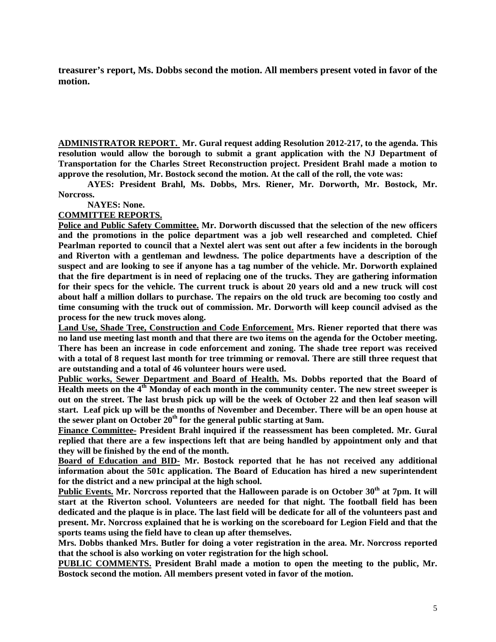**treasurer's report, Ms. Dobbs second the motion. All members present voted in favor of the motion.** 

**ADMINISTRATOR REPORT. Mr. Gural request adding Resolution 2012-217, to the agenda. This resolution would allow the borough to submit a grant application with the NJ Department of Transportation for the Charles Street Reconstruction project. President Brahl made a motion to approve the resolution, Mr. Bostock second the motion. At the call of the roll, the vote was:** 

 **AYES: President Brahl, Ms. Dobbs, Mrs. Riener, Mr. Dorworth, Mr. Bostock, Mr. Norcross.** 

 **NAYES: None.** 

**COMMITTEE REPORTS.** 

**Police and Public Safety Committee. Mr. Dorworth discussed that the selection of the new officers and the promotions in the police department was a job well researched and completed. Chief Pearlman reported to council that a Nextel alert was sent out after a few incidents in the borough and Riverton with a gentleman and lewdness. The police departments have a description of the suspect and are looking to see if anyone has a tag number of the vehicle. Mr. Dorworth explained that the fire department is in need of replacing one of the trucks. They are gathering information for their specs for the vehicle. The current truck is about 20 years old and a new truck will cost about half a million dollars to purchase. The repairs on the old truck are becoming too costly and time consuming with the truck out of commission. Mr. Dorworth will keep council advised as the process for the new truck moves along.** 

**Land Use, Shade Tree, Construction and Code Enforcement. Mrs. Riener reported that there was no land use meeting last month and that there are two items on the agenda for the October meeting. There has been an increase in code enforcement and zoning. The shade tree report was received with a total of 8 request last month for tree trimming or removal. There are still three request that are outstanding and a total of 46 volunteer hours were used.** 

**Public works, Sewer Department and Board of Health. Ms. Dobbs reported that the Board of Health meets on the 4th Monday of each month in the community center. The new street sweeper is out on the street. The last brush pick up will be the week of October 22 and then leaf season will start. Leaf pick up will be the months of November and December. There will be an open house at**  the sewer plant on October 20<sup>th</sup> for the general public starting at 9am.

**Finance Committee- President Brahl inquired if the reassessment has been completed. Mr. Gural replied that there are a few inspections left that are being handled by appointment only and that they will be finished by the end of the month.** 

**Board of Education and BID- Mr. Bostock reported that he has not received any additional information about the 501c application. The Board of Education has hired a new superintendent for the district and a new principal at the high school.** 

**Public Events. Mr. Norcross reported that the Halloween parade is on October 30th at 7pm. It will start at the Riverton school. Volunteers are needed for that night. The football field has been dedicated and the plaque is in place. The last field will be dedicate for all of the volunteers past and present. Mr. Norcross explained that he is working on the scoreboard for Legion Field and that the sports teams using the field have to clean up after themselves.** 

**Mrs. Dobbs thanked Mrs. Butler for doing a voter registration in the area. Mr. Norcross reported that the school is also working on voter registration for the high school.** 

**PUBLIC COMMENTS. President Brahl made a motion to open the meeting to the public, Mr. Bostock second the motion. All members present voted in favor of the motion.**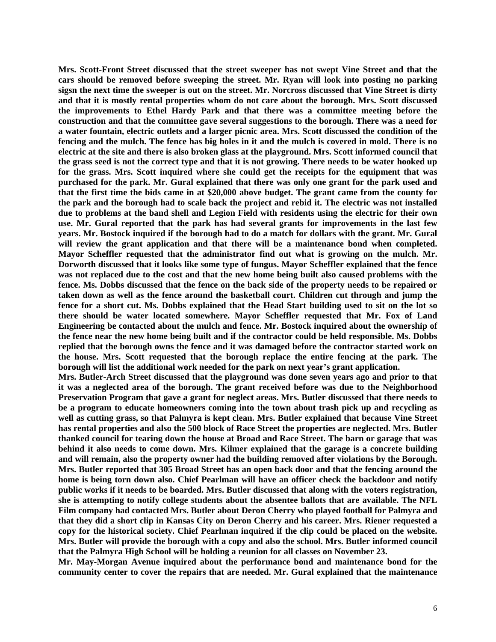**Mrs. Scott-Front Street discussed that the street sweeper has not swept Vine Street and that the cars should be removed before sweeping the street. Mr. Ryan will look into posting no parking sigsn the next time the sweeper is out on the street. Mr. Norcross discussed that Vine Street is dirty and that it is mostly rental properties whom do not care about the borough. Mrs. Scott discussed the improvements to Ethel Hardy Park and that there was a committee meeting before the construction and that the committee gave several suggestions to the borough. There was a need for a water fountain, electric outlets and a larger picnic area. Mrs. Scott discussed the condition of the fencing and the mulch. The fence has big holes in it and the mulch is covered in mold. There is no electric at the site and there is also broken glass at the playground. Mrs. Scott informed council that the grass seed is not the correct type and that it is not growing. There needs to be water hooked up for the grass. Mrs. Scott inquired where she could get the receipts for the equipment that was purchased for the park. Mr. Gural explained that there was only one grant for the park used and that the first time the bids came in at \$20,000 above budget. The grant came from the county for the park and the borough had to scale back the project and rebid it. The electric was not installed due to problems at the band shell and Legion Field with residents using the electric for their own use. Mr. Gural reported that the park has had several grants for improvements in the last few years. Mr. Bostock inquired if the borough had to do a match for dollars with the grant. Mr. Gural will review the grant application and that there will be a maintenance bond when completed. Mayor Scheffler requested that the administrator find out what is growing on the mulch. Mr. Dorworth discussed that it looks like some type of fungus. Mayor Scheffler explained that the fence was not replaced due to the cost and that the new home being built also caused problems with the fence. Ms. Dobbs discussed that the fence on the back side of the property needs to be repaired or taken down as well as the fence around the basketball court. Children cut through and jump the fence for a short cut. Ms. Dobbs explained that the Head Start building used to sit on the lot so there should be water located somewhere. Mayor Scheffler requested that Mr. Fox of Land Engineering be contacted about the mulch and fence. Mr. Bostock inquired about the ownership of the fence near the new home being built and if the contractor could be held responsible. Ms. Dobbs replied that the borough owns the fence and it was damaged before the contractor started work on the house. Mrs. Scott requested that the borough replace the entire fencing at the park. The borough will list the additional work needed for the park on next year's grant application.** 

**Mrs. Butler-Arch Street discussed that the playground was done seven years ago and prior to that it was a neglected area of the borough. The grant received before was due to the Neighborhood Preservation Program that gave a grant for neglect areas. Mrs. Butler discussed that there needs to be a program to educate homeowners coming into the town about trash pick up and recycling as well as cutting grass, so that Palmyra is kept clean. Mrs. Butler explained that because Vine Street has rental properties and also the 500 block of Race Street the properties are neglected. Mrs. Butler thanked council for tearing down the house at Broad and Race Street. The barn or garage that was behind it also needs to come down. Mrs. Kilmer explained that the garage is a concrete building and will remain, also the property owner had the building removed after violations by the Borough. Mrs. Butler reported that 305 Broad Street has an open back door and that the fencing around the home is being torn down also. Chief Pearlman will have an officer check the backdoor and notify public works if it needs to be boarded. Mrs. Butler discussed that along with the voters registration, she is attempting to notify college students about the absentee ballots that are available. The NFL Film company had contacted Mrs. Butler about Deron Cherry who played football for Palmyra and that they did a short clip in Kansas City on Deron Cherry and his career. Mrs. Riener requested a copy for the historical society. Chief Pearlman inquired if the clip could be placed on the website. Mrs. Butler will provide the borough with a copy and also the school. Mrs. Butler informed council that the Palmyra High School will be holding a reunion for all classes on November 23.** 

**Mr. May-Morgan Avenue inquired about the performance bond and maintenance bond for the community center to cover the repairs that are needed. Mr. Gural explained that the maintenance**